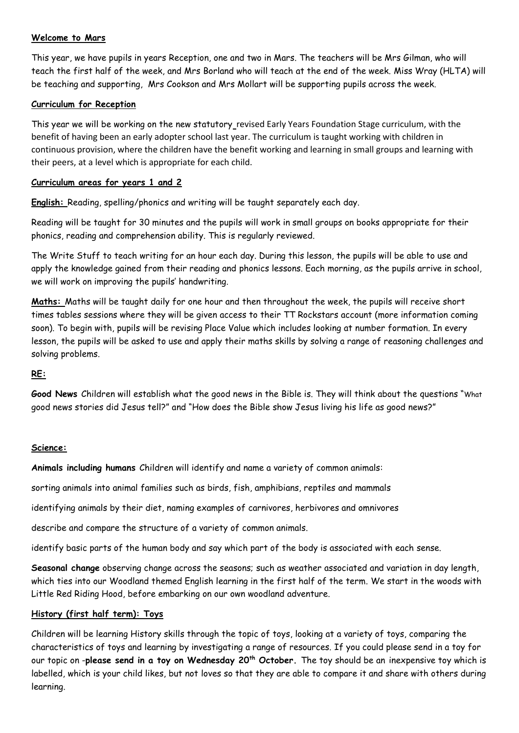## **Welcome to Mars**

This year, we have pupils in years Reception, one and two in Mars. The teachers will be Mrs Gilman, who will teach the first half of the week, and Mrs Borland who will teach at the end of the week. Miss Wray (HLTA) will be teaching and supporting, Mrs Cookson and Mrs Mollart will be supporting pupils across the week.

#### **Curriculum for Reception**

This year we will be working on the new statutory revised Early Years Foundation Stage curriculum, with the benefit of having been an early adopter school last year. The curriculum is taught working with children in continuous provision, where the children have the benefit working and learning in small groups and learning with their peers, at a level which is appropriate for each child.

#### **Curriculum areas for years 1 and 2**

**English:** Reading, spelling/phonics and writing will be taught separately each day.

Reading will be taught for 30 minutes and the pupils will work in small groups on books appropriate for their phonics, reading and comprehension ability. This is regularly reviewed.

The Write Stuff to teach writing for an hour each day. During this lesson, the pupils will be able to use and apply the knowledge gained from their reading and phonics lessons. Each morning, as the pupils arrive in school, we will work on improving the pupils' handwriting.

**Maths:** Maths will be taught daily for one hour and then throughout the week, the pupils will receive short times tables sessions where they will be given access to their TT Rockstars account (more information coming soon). To begin with, pupils will be revising Place Value which includes looking at number formation. In every lesson, the pupils will be asked to use and apply their maths skills by solving a range of reasoning challenges and solving problems.

## **RE:**

**Good News** Children will establish what the good news in the Bible is. They will think about the questions "What good news stories did Jesus tell?" and "How does the Bible show Jesus living his life as good news?"

#### **Science:**

**Animals including humans** Children will identify and name a variety of common animals:

sorting animals into animal families such as birds, fish, amphibians, reptiles and mammals

identifying animals by their diet, naming examples of carnivores, herbivores and omnivores

describe and compare the structure of a variety of common animals.

identify basic parts of the human body and say which part of the body is associated with each sense.

**Seasonal change** observing change across the seasons; such as weather associated and variation in day length, which ties into our Woodland themed English learning in the first half of the term. We start in the woods with Little Red Riding Hood, before embarking on our own woodland adventure.

# **History (first half term): Toys**

Children will be learning History skills through the topic of toys, looking at a variety of toys, comparing the characteristics of toys and learning by investigating a range of resources. If you could please send in a toy for our topic on -**please send in a toy on Wednesday 20th October.** The toy should be an inexpensive toy which is labelled, which is your child likes, but not loves so that they are able to compare it and share with others during learning.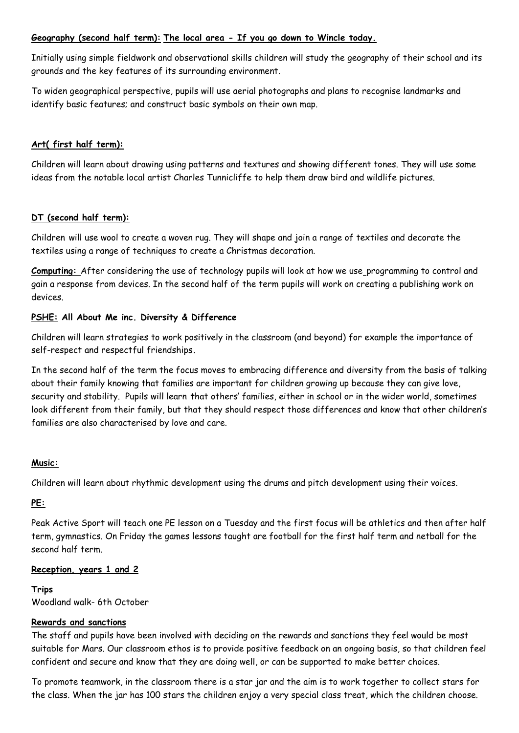# **Geography (second half term): The local area - If you go down to Wincle today.**

Initially using simple fieldwork and observational skills children will study the geography of their school and its grounds and the key features of its surrounding environment.

To widen geographical perspective, pupils will use aerial photographs and plans to recognise landmarks and identify basic features; and construct basic symbols on their own map.

## **Art( first half term):**

Children will learn about drawing using patterns and textures and showing different tones. They will use some ideas from the notable local artist Charles Tunnicliffe to help them draw bird and wildlife pictures.

## **DT (second half term):**

Children will use wool to create a woven rug. They will shape and join a range of textiles and decorate the textiles using a range of techniques to create a Christmas decoration.

**Computing:** After considering the use of technology pupils will look at how we use programming to control and gain a response from devices. In the second half of the term pupils will work on creating a publishing work on devices.

## **PSHE: All About Me inc. Diversity & Difference**

Children will learn strategies to work positively in the classroom (and beyond) for example the importance of self-respect and respectful friendships**.**

In the second half of the term the focus moves to embracing difference and diversity from the basis of talking about their family knowing that families are important for children growing up because they can give love, security and stability. Pupils will learn **t**hat others' families, either in school or in the wider world, sometimes look different from their family, but that they should respect those differences and know that other children's families are also characterised by love and care.

## **Music:**

Children will learn about rhythmic development using the drums and pitch development using their voices.

## **PE:**

Peak Active Sport will teach one PE lesson on a Tuesday and the first focus will be athletics and then after half term, gymnastics. On Friday the games lessons taught are football for the first half term and netball for the second half term.

## **Reception, years 1 and 2**

## **Trips**

Woodland walk- 6th October

## **Rewards and sanctions**

The staff and pupils have been involved with deciding on the rewards and sanctions they feel would be most suitable for Mars. Our classroom ethos is to provide positive feedback on an ongoing basis, so that children feel confident and secure and know that they are doing well, or can be supported to make better choices.

To promote teamwork, in the classroom there is a star jar and the aim is to work together to collect stars for the class. When the jar has 100 stars the children enjoy a very special class treat, which the children choose.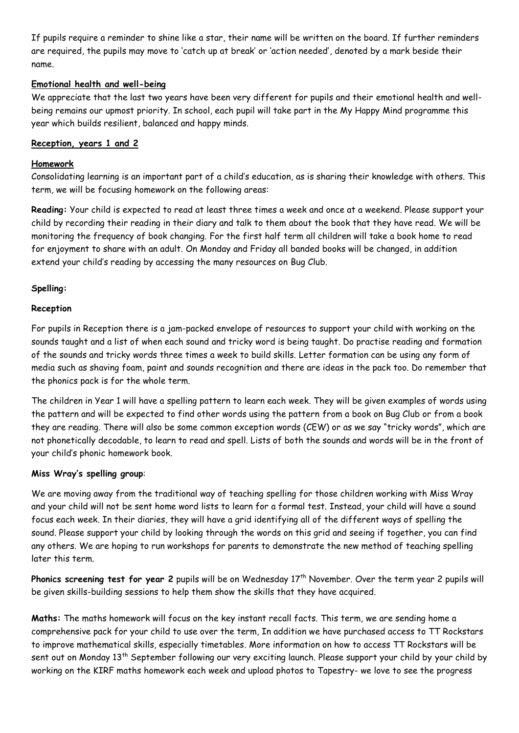If pupils require a reminder to shine like a star, their name will be written on the board. If further reminders are required, the pupils may move to 'catch up at break' or 'action needed', denoted by a mark beside their name.

# **Emotional health and well-being**

We appreciate that the last two years have been very different for pupils and their emotional health and wellbeing remains our upmost priority. In school, each pupil will take part in the My Happy Mind programme this year which builds resilient, balanced and happy minds.

# **Reception, years 1 and 2**

## **Homework**

Consolidating learning is an important part of a child's education, as is sharing their knowledge with others. This term, we will be focusing homework on the following areas:

**Reading:** Your child is expected to read at least three times a week and once at a weekend. Please support your child by recording their reading in their diary and talk to them about the book that they have read. We will be monitoring the frequency of book changing. For the first half term all children will take a book home to read for enjoyment to share with an adult. On Monday and Friday all banded books will be changed, in addition extend your child's reading by accessing the many resources on Bug Club.

## **Spelling:**

#### **Reception**

For pupils in Reception there is a jam-packed envelope of resources to support your child with working on the sounds taught and a list of when each sound and tricky word is being taught. Do practise reading and formation of the sounds and tricky words three times a week to build skills. Letter formation can be using any form of media such as shaving foam, paint and sounds recognition and there are ideas in the pack too. Do remember that the phonics pack is for the whole term.

The children in Year 1 will have a spelling pattern to learn each week. They will be given examples of words using the pattern and will be expected to find other words using the pattern from a book on Bug Club or from a book they are reading. There will also be some common exception words (CEW) or as we say "tricky words", which are not phonetically decodable, to learn to read and spell. Lists of both the sounds and words will be in the front of your child's phonic homework book.

## **Miss Wray's spelling group**:

We are moving away from the traditional way of teaching spelling for those children working with Miss Wray and your child will not be sent home word lists to learn for a formal test. Instead, your child will have a sound focus each week. In their diaries, they will have a grid identifying all of the different ways of spelling the sound. Please support your child by looking through the words on this grid and seeing if together, you can find any others. We are hoping to run workshops for parents to demonstrate the new method of teaching spelling later this term.

Phonics screening test for year 2 pupils will be on Wednesday 17<sup>th</sup> November. Over the term year 2 pupils will be given skills-building sessions to help them show the skills that they have acquired.

**Maths:** The maths homework will focus on the key instant recall facts. This term, we are sending home a comprehensive pack for your child to use over the term, In addition we have purchased access to TT Rockstars to improve mathematical skills, especially timetables. More information on how to access TT Rockstars will be sent out on Monday 13<sup>th</sup> September following our very exciting launch. Please support your child by your child by working on the KIRF maths homework each week and upload photos to Tapestry- we love to see the progress